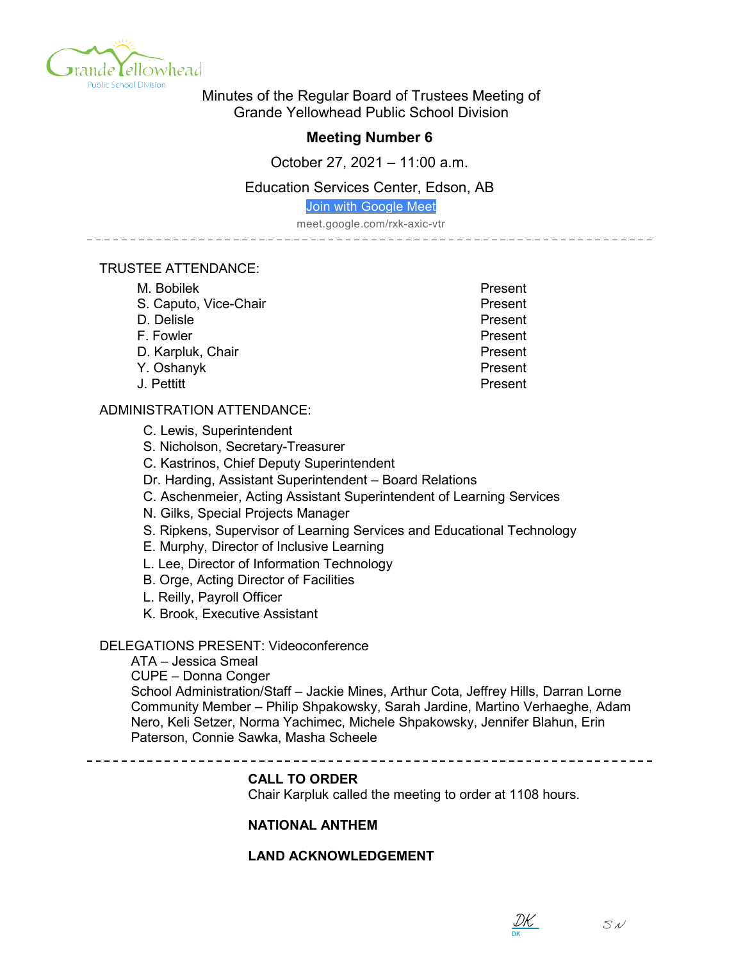

Minutes of the Regular Board of Trustees Meeting of Grande Yellowhead Public School Division

# **Meeting Number 6**

October 27, 2021 – 11:00 a.m.

# Education Services Center, Edson, AB

[Join with Google Meet](https://meet.google.com/rxk-axic-vtr?authuser=0&hs=122)

meet.google.com/rxk-axic-vtr

#### TRUSTEE ATTENDANCE:

| M. Bobilek            | Present |
|-----------------------|---------|
| S. Caputo, Vice-Chair | Present |
| D. Delisle            | Present |
| F. Fowler             | Present |
| D. Karpluk, Chair     | Present |
| Y. Oshanyk            | Present |
| J. Pettitt            | Present |

## ADMINISTRATION ATTENDANCE:

C. Lewis, Superintendent

S. Nicholson, Secretary-Treasurer

C. Kastrinos, Chief Deputy Superintendent

Dr. Harding, Assistant Superintendent – Board Relations

C. Aschenmeier, Acting Assistant Superintendent of Learning Services

N. Gilks, Special Projects Manager

S. Ripkens, Supervisor of Learning Services and Educational Technology

E. Murphy, Director of Inclusive Learning

L. Lee, Director of Information Technology

B. Orge, Acting Director of Facilities

L. Reilly, Payroll Officer

K. Brook, Executive Assistant

## DELEGATIONS PRESENT: Videoconference

ATA – Jessica Smeal CUPE – Donna Conger School Administration/Staff – Jackie Mines, Arthur Cota, Jeffrey Hills, Darran Lorne Community Member – Philip Shpakowsky, Sarah Jardine, Martino Verhaeghe, Adam Nero, Keli Setzer, Norma Yachimec, Michele Shpakowsky, Jennifer Blahun, Erin Paterson, Connie Sawka, Masha Scheele

\_\_\_\_\_\_\_\_\_\_\_\_\_\_\_\_\_\_\_\_\_\_\_\_\_\_ 

#### **CALL TO ORDER**

Chair Karpluk called the meeting to order at 1108 hours.

## **NATIONAL ANTHEM**

# **LAND ACKNOWLEDGEMENT**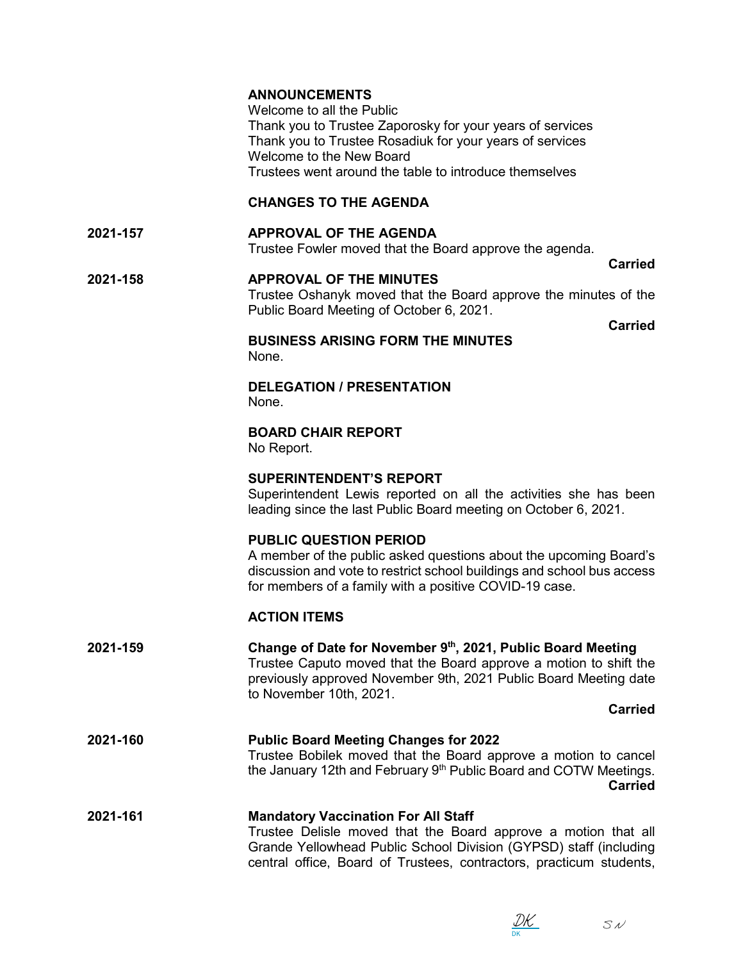|          | <b>ANNOUNCEMENTS</b><br>Welcome to all the Public<br>Thank you to Trustee Zaporosky for your years of services<br>Thank you to Trustee Rosadiuk for your years of services<br>Welcome to the New Board<br>Trustees went around the table to introduce themselves |
|----------|------------------------------------------------------------------------------------------------------------------------------------------------------------------------------------------------------------------------------------------------------------------|
|          | <b>CHANGES TO THE AGENDA</b>                                                                                                                                                                                                                                     |
| 2021-157 | <b>APPROVAL OF THE AGENDA</b><br>Trustee Fowler moved that the Board approve the agenda.<br><b>Carried</b>                                                                                                                                                       |
| 2021-158 | <b>APPROVAL OF THE MINUTES</b><br>Trustee Oshanyk moved that the Board approve the minutes of the<br>Public Board Meeting of October 6, 2021.                                                                                                                    |
|          | <b>Carried</b><br><b>BUSINESS ARISING FORM THE MINUTES</b><br>None.                                                                                                                                                                                              |
|          | <b>DELEGATION / PRESENTATION</b><br>None.                                                                                                                                                                                                                        |
|          | <b>BOARD CHAIR REPORT</b><br>No Report.                                                                                                                                                                                                                          |
|          | <b>SUPERINTENDENT'S REPORT</b><br>Superintendent Lewis reported on all the activities she has been<br>leading since the last Public Board meeting on October 6, 2021.                                                                                            |
|          | <b>PUBLIC QUESTION PERIOD</b><br>A member of the public asked questions about the upcoming Board's<br>discussion and vote to restrict school buildings and school bus access<br>for members of a family with a positive COVID-19 case.                           |
|          | <b>ACTION ITEMS</b>                                                                                                                                                                                                                                              |
| 2021-159 | Change of Date for November 9th, 2021, Public Board Meeting<br>Trustee Caputo moved that the Board approve a motion to shift the<br>previously approved November 9th, 2021 Public Board Meeting date<br>to November 10th, 2021.                                  |
|          | <b>Carried</b>                                                                                                                                                                                                                                                   |
| 2021-160 | <b>Public Board Meeting Changes for 2022</b><br>Trustee Bobilek moved that the Board approve a motion to cancel<br>the January 12th and February 9 <sup>th</sup> Public Board and COTW Meetings.<br><b>Carried</b>                                               |
| 2021-161 | <b>Mandatory Vaccination For All Staff</b><br>Trustee Delisle moved that the Board approve a motion that all<br>Grande Yellowhead Public School Division (GYPSD) staff (including<br>central office, Board of Trustees, contractors, practicum students,         |

DK [DK](https://na1.documents.adobe.com/verifier?tx=CBJCHBCAABAAT4TzriyneLPHKN5C5cGxFMAVOT0WTbfV)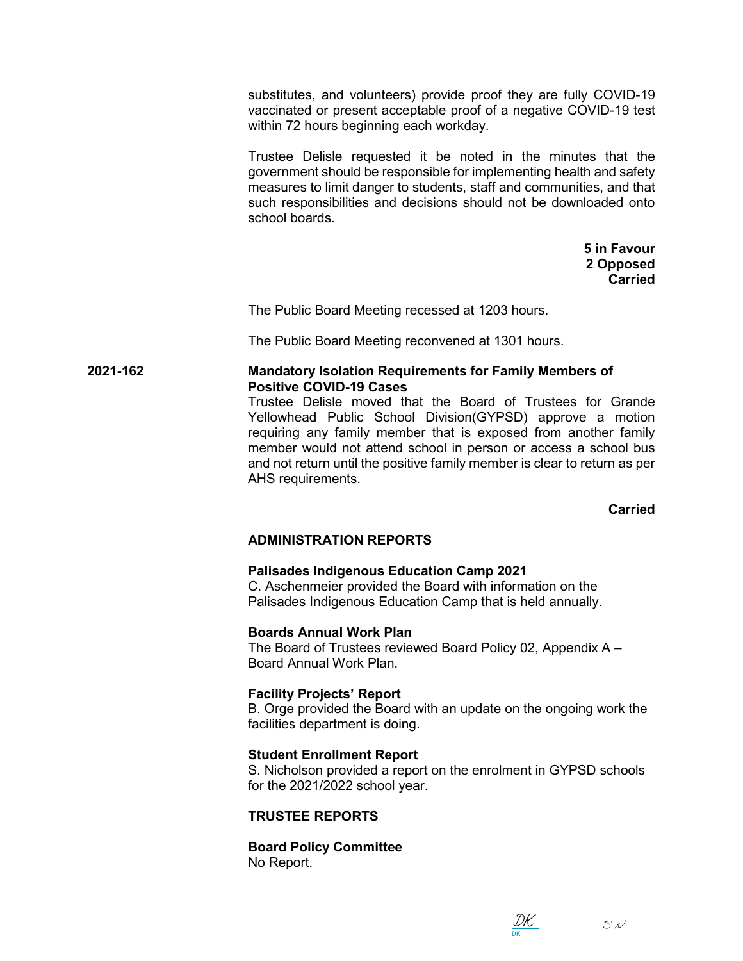substitutes, and volunteers) provide proof they are fully COVID-19 vaccinated or present acceptable proof of a negative COVID-19 test within 72 hours beginning each workday.

Trustee Delisle requested it be noted in the minutes that the government should be responsible for implementing health and safety measures to limit danger to students, staff and communities, and that such responsibilities and decisions should not be downloaded onto school boards.

> **5 in Favour 2 Opposed Carried**

The Public Board Meeting recessed at 1203 hours.

The Public Board Meeting reconvened at 1301 hours.

#### **2021-162 Mandatory Isolation Requirements for Family Members of Positive COVID-19 Cases**

Trustee Delisle moved that the Board of Trustees for Grande Yellowhead Public School Division(GYPSD) approve a motion requiring any family member that is exposed from another family member would not attend school in person or access a school bus and not return until the positive family member is clear to return as per AHS requirements.

**Carried**

# **ADMINISTRATION REPORTS**

## **Palisades Indigenous Education Camp 2021**

C. Aschenmeier provided the Board with information on the Palisades Indigenous Education Camp that is held annually.

## **Boards Annual Work Plan**

The Board of Trustees reviewed Board Policy 02, Appendix A – Board Annual Work Plan.

## **Facility Projects' Report**

B. Orge provided the Board with an update on the ongoing work the facilities department is doing.

## **Student Enrollment Report**

S. Nicholson provided a report on the enrolment in GYPSD schools for the 2021/2022 school year.

## **TRUSTEE REPORTS**

**Board Policy Committee** No Report.